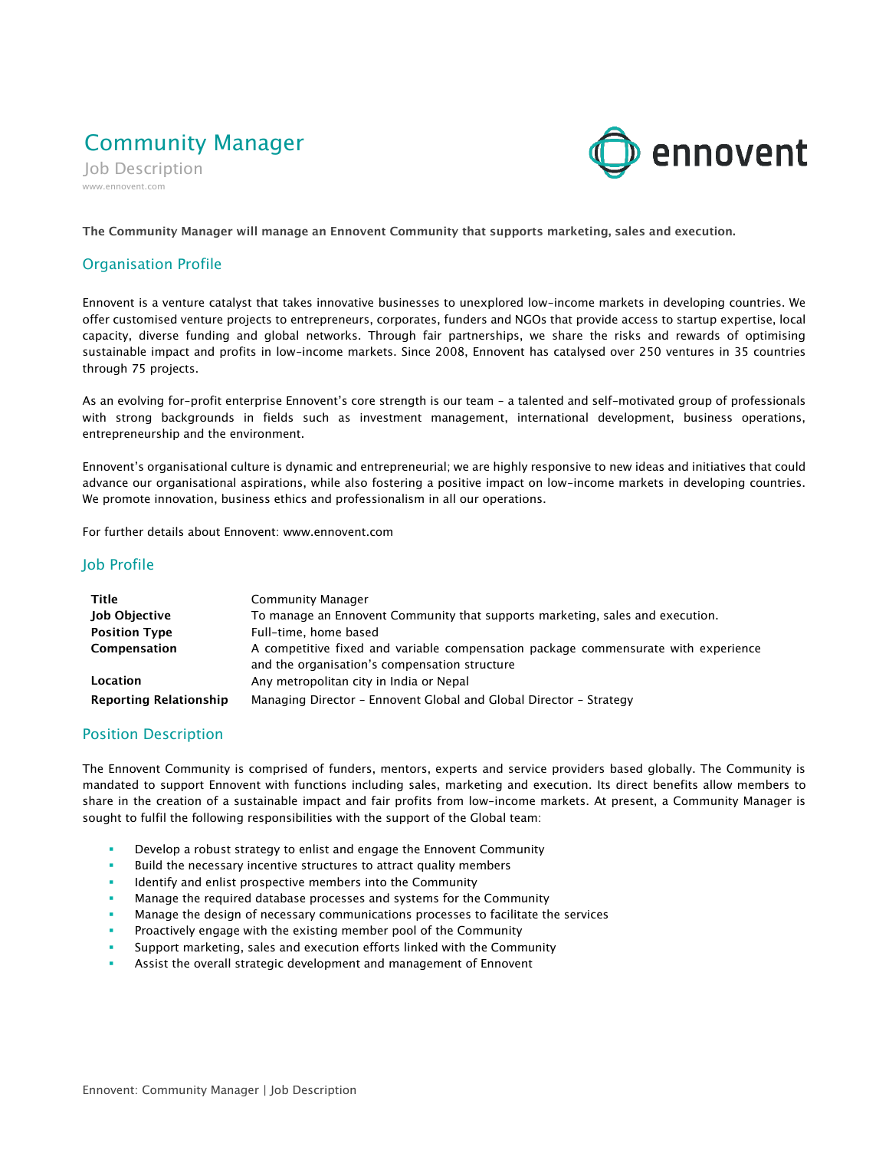# Community Manager

Job Description [www.ennovent.c](http://www.ennovent/)om



**The Community Manager will manage an Ennovent Community that supports marketing, sales and execution.**

#### Organisation Profile

Ennovent is a venture catalyst that takes innovative businesses to unexplored low-income markets in developing countries. We offer customised venture projects to entrepreneurs, corporates, funders and NGOs that provide access to startup expertise, local capacity, diverse funding and global networks. Through fair partnerships, we share the risks and rewards of optimising sustainable impact and profits in low-income markets. Since 2008, Ennovent has catalysed over 250 ventures in 35 countries through 75 projects.

As an evolving for-profit enterprise Ennovent's core strength is our team - a talented and self-motivated group of professionals with strong backgrounds in fields such as investment management, international development, business operations, entrepreneurship and the environment.

Ennovent's organisational culture is dynamic and entrepreneurial; we are highly responsive to new ideas and initiatives that could advance our organisational aspirations, while also fostering a positive impact on low-income markets in developing countries. We promote innovation, business ethics and professionalism in all our operations.

For further details about Ennovent: [www.ennovent.com](http://www.ennovent.com/)

#### Job Profile

| Title                         | Community Manager                                                                  |
|-------------------------------|------------------------------------------------------------------------------------|
| Job Objective                 | To manage an Ennovent Community that supports marketing, sales and execution.      |
| <b>Position Type</b>          | Full-time, home based                                                              |
| Compensation                  | A competitive fixed and variable compensation package commensurate with experience |
|                               | and the organisation's compensation structure                                      |
| Location                      | Any metropolitan city in India or Nepal                                            |
| <b>Reporting Relationship</b> | Managing Director - Ennovent Global and Global Director - Strategy                 |

#### Position Description

The Ennovent Community is comprised of funders, mentors, experts and service providers based globally. The Community is mandated to support Ennovent with functions including sales, marketing and execution. Its direct benefits allow members to share in the creation of a sustainable impact and fair profits from low-income markets. At present, a Community Manager is sought to fulfil the following responsibilities with the support of the Global team:

- Develop a robust strategy to enlist and engage the Ennovent Community
- Build the necessary incentive structures to attract quality members
- Identify and enlist prospective members into the Community
- Manage the required database processes and systems for the Community
- Manage the design of necessary communications processes to facilitate the services
- Proactively engage with the existing member pool of the Community
- Support marketing, sales and execution efforts linked with the Community
- Assist the overall strategic development and management of Ennovent